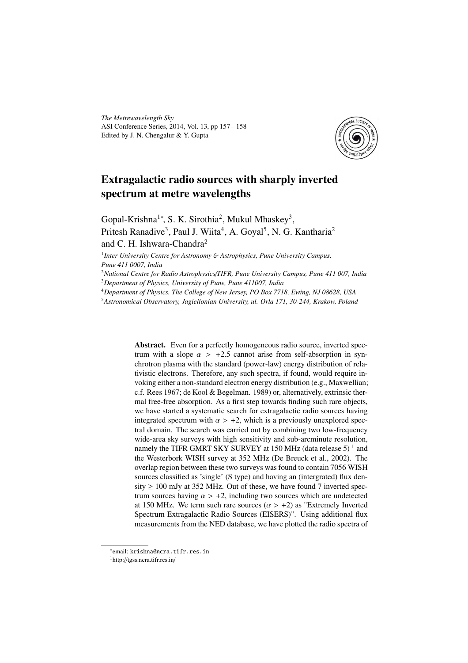*The Metrewavelength Sky* ASI Conference Series, 2014, Vol. 13, pp 157 – 158 Edited by J. N. Chengalur & Y. Gupta



## Extragalactic radio sources with sharply inverted spectrum at metre wavelengths

Gopal-Krishna<sup>1</sup>\*, S. K. Sirothia<sup>2</sup>, Mukul Mhaskey<sup>3</sup>, Pritesh Ranadive<sup>3</sup>, Paul J. Wiita<sup>4</sup>, A. Goyal<sup>5</sup>, N. G. Kantharia<sup>2</sup> and C. H. Ishwara-Chandra<sup>2</sup>

1 *Inter University Centre for Astronomy* & *Astrophysics, Pune University Campus, Pune 411 0007, India*

<sup>2</sup>*National Centre for Radio Astrophysics*/*TIFR, Pune University Campus, Pune 411 007, India* <sup>3</sup>*Department of Physics, University of Pune, Pune 411007, India*

<sup>4</sup>*Department of Physics, The College of New Jersey, PO Box 7718, Ewing, NJ 08628, USA*

<sup>5</sup>*Astronomical Observatory, Jagiellonian University, ul. Orla 171, 30-244, Krakow, Poland*

Abstract. Even for a perfectly homogeneous radio source, inverted spectrum with a slope  $\alpha > +2.5$  cannot arise from self-absorption in synchrotron plasma with the standard (power-law) energy distribution of relativistic electrons. Therefore, any such spectra, if found, would require invoking either a non-standard electron energy distribution (e.g., Maxwellian; c.f. Rees 1967; de Kool & Begelman. 1989) or, alternatively, extrinsic thermal free-free absorption. As a first step towards finding such rare objects, we have started a systematic search for extragalactic radio sources having integrated spectrum with  $\alpha > +2$ , which is a previously unexplored spectral domain. The search was carried out by combining two low-frequency wide-area sky surveys with high sensitivity and sub-arcminute resolution, namely the TIFR GMRT SKY SURVEY at 150 MHz (data release 5)  $^1$  and the Westerbork WISH survey at 352 MHz (De Breuck et al., 2002). The overlap region between these two surveys was found to contain 7056 WISH sources classified as 'single' (S type) and having an (intergrated) flux density  $\geq 100$  mJy at 352 MHz. Out of these, we have found 7 inverted spectrum sources having  $\alpha > +2$ , including two sources which are undetected at 150 MHz. We term such rare sources ( $\alpha > +2$ ) as "Extremely Inverted Spectrum Extragalactic Radio Sources (EISERS)". Using additional flux measurements from the NED database, we have plotted the radio spectra of

<sup>∗</sup> email: krishna@ncra.tifr.res.in

<sup>1</sup>http://tgss.ncra.tifr.res.in/